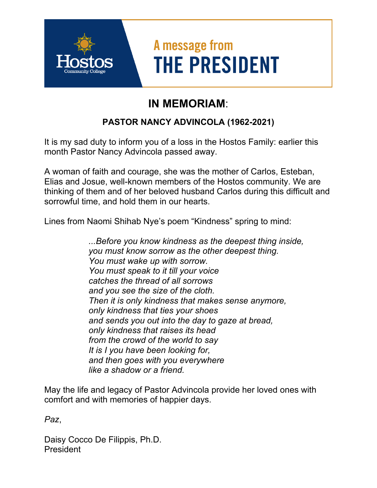

## A message from **THE PRESIDENT**

## **IN MEMORIAM**:

## **PASTOR NANCY ADVINCOLA (1962-2021)**

It is my sad duty to inform you of a loss in the Hostos Family: earlier this month Pastor Nancy Advincola passed away.

A woman of faith and courage, she was the mother of Carlos, Esteban, Elias and Josue, well-known members of the Hostos community. We are thinking of them and of her beloved husband Carlos during this difficult and sorrowful time, and hold them in our hearts.

Lines from Naomi Shihab Nye's poem "Kindness" spring to mind:

*...Before you know kindness as the deepest thing inside, you must know sorrow as the other deepest thing. You must wake up with sorrow. You must speak to it till your voice catches the thread of all sorrows and you see the size of the cloth. Then it is only kindness that makes sense anymore, only kindness that ties your shoes and sends you out into the day to gaze at bread, only kindness that raises its head from the crowd of the world to say It is I you have been looking for, and then goes with you everywhere like a shadow or a friend.* 

May the life and legacy of Pastor Advincola provide her loved ones with comfort and with memories of happier days.

*Paz*,

Daisy Cocco De Filippis, Ph.D. President